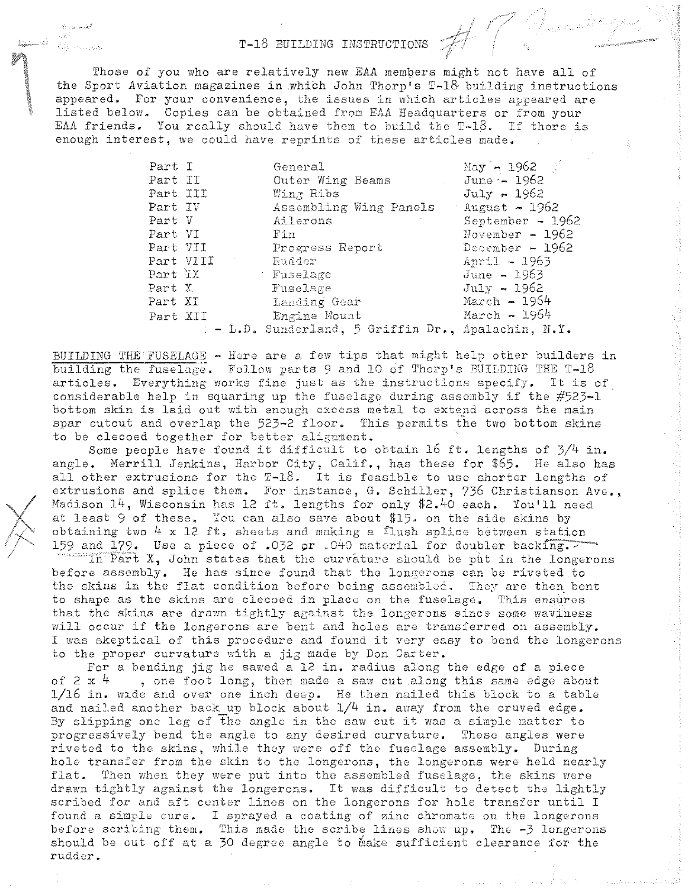$\mathcal{G}(\mathcal{E})$ Alle San Bally

T-18 BUILDING INSTRUCTIONS  $\#$ Those of you who are relatively new EAA members might not have all of the Sport Aviation magazines in .which John Thorp's T-l& building instructions appeared. For your convenience, the issues in which articles appeared are listed below. Copies can be obtained from EAA Headquarters or from your EAA friends. You really should have them to build the T-18. If there is enough interest, we could have reprints of these articles made.

| Part I   |           | General                                             | May $-1962$       |
|----------|-----------|-----------------------------------------------------|-------------------|
| Part II  |           | Outer Wing Beams                                    | June $-1962$      |
| Part III |           | $W\perp n$ , Ribs                                   | July - 1962       |
| Part IV  |           | Assembling Wing Panels August - 1962                |                   |
| Part V   |           | Ailerons                                            | September $-1962$ |
| Part VI  |           | - Fin                                               | November - $1962$ |
| Part VII |           | Progress Report                                     | December - $1962$ |
|          | Part VIII | - Rudder                                            | April - 1963      |
| Part IX  |           | Fuselage                                            | June - 1963       |
| Part X   |           | Fuselage                                            | $July - 1962$     |
| Part XI  |           | Landing Gear                                        | $March - 1964$    |
| Part XII |           | Engine Mount                                        | March $\sim 1964$ |
|          |           | : - L.D. Sunderland, 5 Griffin Dr., Apalachin, N.Y. |                   |

BUILDING THE FUSELAGE - Here are a few tips that might help other builders in building the fuselage. Follow parts 9 and 10 of Thorp's BUILDING THE  $T-18$ articles. Everything works fine just as the instructions specify. It is of considerable help in squaring up the fuselage during assembly if the  $#523-1$ bottom skin is laid out with enough excess metal to extend across the main spar cutout and overlap the 523-2 floor. This permits the two bottom skins to be clecoed together for better alignment.

Some people have found it difficult to obtain 16 ft. lengths of  $3/4$  in. angle. Nerrill Jenkins, Harbor City, Calif., has these for \$65. He also has all other extrusions for the  $T-18$ . It is feasible to use shorter lengths of extrusions and splice thom. For instance, G. Schiller, 736 Christianson *Ave.,*  Madison 14, Wisconsin has 12 ft. lengths for only \$2.40 each. You'll need at least 9 of these. "ou can also save about \$15. on the side skins by obtaining two  $4 \times 12$  ft. sheets and making a flush splice between station 159 and 179. Use a piece of .032 or  $.040$  material for doubler backing.  $\sim$  $\overline{\text{In Part X}}$ , John states that the curvature should be put in the longerons before assembly. He has since found that tho longerons can be riveted to the skins in the flat condition before being assembled. They are then bent to shape as the skins are clecoed in place on the fuselage. This ensures that the skins are drawn tightly against the longerons since some waviness will occur if the longerons are bent and holes are transferred on assembly. I was skeptical of this procedure and found it very easy to bend the longerons to the proper curvature with a jig made by Don Carter.

For a bending jig he sawed a 12 in. radius along the edge of a piece of 2 x  $\frac{1}{4}$ , one foot long, then made a saw cut along this same edge about 1/16 in. wldc and over one inch desp. He then nailed this block to a table and nailed another back up block about  $1/4$  in. away from the cruved edge. By slipping one leg of the angle in the saw cut it was a simple matter to progressively bend the anglo to any desired curvature. These angles were riveted to the skins, while they were off the fuselage assembly. During hole transfer from the skin to the longerons, the longerons were held nearly flat. Then when they were put into the assembled fuselage, the skins were drawn tightly against the longerons. It was difficult to detect the lightly scribed for and aft center lines on tho longorons for hole transfer until I found a simple cure. I sprayed a coating of zinc chromate on the longerons before scribing them. This made the scribe lines show up. The -3 longerons should be cut off at a 30 degree angle to make sufficient clearance for the rudder.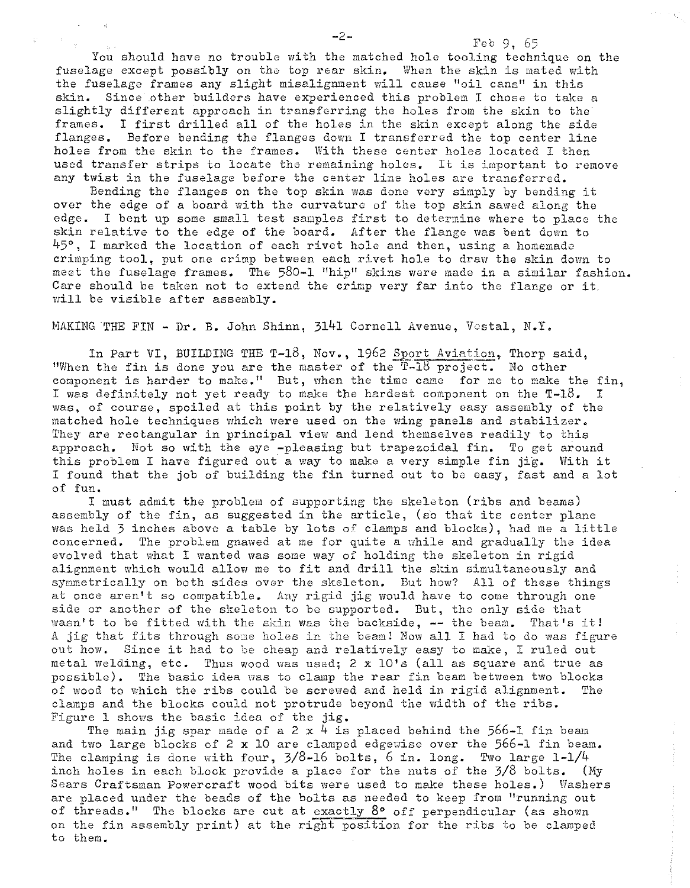You should have no trouble with the matched hole tooling technique on the fuselage except possibly on the top rear skin. When the skin is mated with the fuselage frames any slight misalignment will cause "oil cans" in this skin. Since other builders have experienced this problem I chose to take a slightly different approach in transferring the holes from the skin to the frames. I first drilled all of the holes in the skin except along the side flanges. Before bending the flanges down I transferred the top center line holes from the skin to the frames. With these center holes located I then used transfer strips to locate the remaining holes. It is important to remove any twist in the fuselage before the center line holes are transferred.

Bending the flanges on the top skin was done very simply by bending it over the edge of a board with the curvature of the top skin sawed along the edge. I bent up some small test samples first to determine where to place the skin relative to the edge of the board. After the flange was bent down to  $45^\circ$ , I marked the location of each rivet hole and then, using a homemade crimping tool, put one crimp between each rivet hole to draw the skin down to meet the fuselage frames. The 580-1 "hip" skins were made in a similar fashion. Care should be taken not to extend the crimp very far into the flange or it will be visible after assembly.

MAKING THE FIN - Dr. B. John Shinn, 3141 Cornell Avenue, Vostal, N.Y.

In Part VI, BUILDING THE T-18, Nov., 1962 Sport Aviation, Thorp said, "When the fin is done you are the master of the  $T-13$  project. No other component is harder to make." But, when the time came for me to make the fin, I was definitely not yet ready to make the hardest component on the  $T-18$ . I was, of course, spoiled at this point by the relatively easy assembly of the matched hole techniques which were used on the wing panels and stabilizer. They are rectangular in principal view and lend themselves readily to this approach. Not so with the eye -pleasing but trapezoidal fin. To get around this problem I have figured out a way to make a very simple fin jig. With it I found that the job of building the fin turned out to be easy, fast and a lot of fun.

I must admit the problem of supporting the skeleton (ribs and beams) assembly of the fin, as suggested in the article, (so that its center plane was held 3 inches above a table by lots of clamps and blocks), had me a little concerned. The problem gnawed at me for quite a while and gradually the idea evolved that what I wanted was some way of holding the skeleton in rigid alignment which would allow me to fit and drill the skin simultaneously and symmetrically on both sides over the skeleton. But how? All of these things at once aren't so compatible. Any rigid jig would have to come through one side or another of the skeleton to be supported. But, the only side that wasn't to be fitted with the skin was the backside, -- the beam. That's it! A jig that fits through some holes in the beam! Now all I had to do was figure out how. Since it had to be cheap and relatively easy to make, I ruled out metal welding, etc. Thus wood was used; 2 x 10's (all as square and true as possible). The basic idea was to clamp the rear fin beam between two blocks of wood to which the ribs could be screwed and held in rigid alignment. The clamps and the blocks could not protrude beyond the width of the ribs. Figure 1 shows the basic idea of the jig.

The main jig spar made of a 2 x 4 is placed behind the 566-1 fin beam and two large blocks of 2 x 10 are clamped edgewise over the 566-1 fin beam. The clamping is done with four,  $3/8$ -16 bolts, 6 in. long. Two large  $1-1/4$ inch holes in each block provide a place for the nuts of the 3/8 bolts. (Hy Sears Craftsman Powercraft wood bits were used to make these holes.) Washers are placed under the beads of the bolts as needed to keep from "running out of threads." The blocks are cut at exactly  $8^{\circ}$  off perpendicular (as shown on the fin assembly print) at the right position for the ribs to be clamped to them.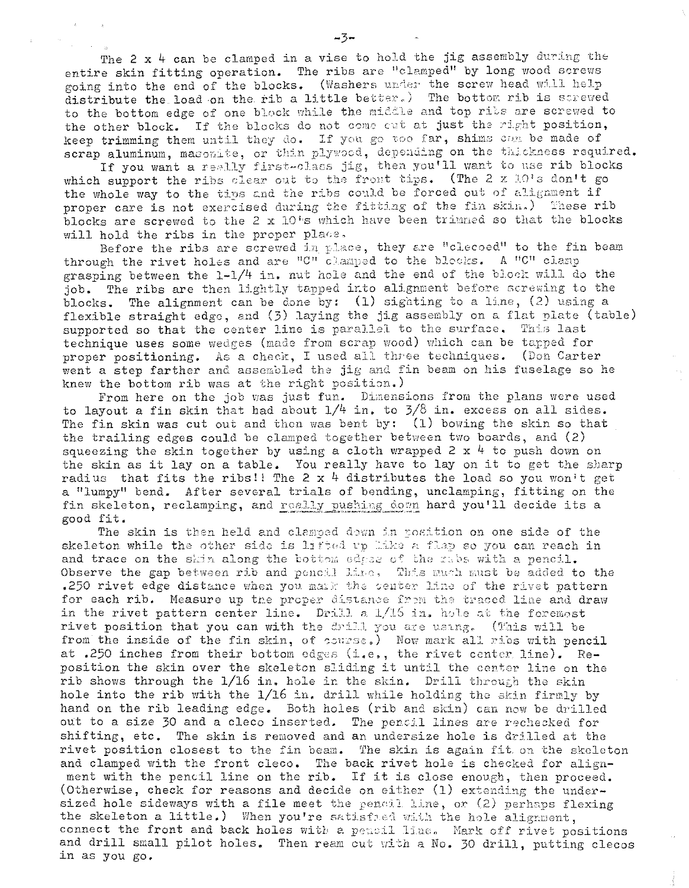The 2 x 4 can be clamped in a vise to hold the jig assembly during the entire skin fitting operation. The ribs are "clamped" by long wood screws going into the end of the blocks. (Washers under the screw head will help distribute the load on the rib a little better.) The bottom rib is screwed to the bottom edge of one block while the middle and top ribs are screwed to the other block. If the blocks do not come cut at just the right position, keep trimming them until they do. If you go too far, shims can be made of scrap aluminum, masomite, or thin plywood, depending on the thickness required.

If you want a really first-class jig, then you'll want to use rib blocks which support the ribs clear out to the front tips. (The 2 x 10's don't go the whole way to the tips and the ribs could be forced out of alignment if proper care is not exercised during the fitting of the fin skin.) These rib blocks are screwed to the 2 x 10's which have been trimmed so that the blocks will hold the ribs in the proper place.

Before the ribs are screwed in place, they are "clecoed" to the fin beam through the rivet holes and are "C" clamped to the blocks. A "C" clamp grasping between the 1-1/4 in. nut hole and the end of the block will do the job. The ribs are then lightly tapped into alignment before screwing to the blocks. The alignment can be done by:  $(1)$  sighting to a line,  $(2)$  using a flexible straight edge, and (3) laying the jig assembly on a flat plate (table) supported so that the center line is parallel to the surface. This last technique uses some wedges (made from scrap wood) which can be tapped for proper positioning. As a check, I used all three techniques. (Don Carter went a step farther and assembled the jig and fin beam on his fuselage so he knew the bottom rib was at the right position.)

From here on the job was just fun. Dimensions from the plans were used to layout a fin skin that had about  $1/4$  in. to  $3/8$  in. excess on all sides. The fin skin was cut out and then was bent by:  $(1)$  bowing the skin so that the trailing edges could be clamped together between two boards, and (2) squeezing the skin together by using a cloth wrapped 2 x 4 to push down on the skin as it lay on a table. You really have to lay on it to get the sharp radius that fits the ribs!! The 2 x 4 distributes the load so you won't get a "lumpy" bend. After several trials of bending, unclamping, fitting on the fin skeleton, reclamping, and really pushing down hard you'll decide its a good fit.

The skin is then held and clamped down in position on one side of the skeleton while the other side is lifted up like a flap so you can reach in and trace on the skin along the bottom edges of the rabs with a pencil. Observe the gap between rib and pencil like, This much must be added to the .250 rivet edge distance when you mark the senter line of the rivet pattern for each rib. Measure up the proper distance from the traced line and draw in the rivet pattern center line. Drill a 1/15 in, hole at the foremost rivet position that you can with the drill you are using. (This will be from the inside of the fin skin, of course.) Now mark all rios with pencil at .250 inches from their bottom edges (i.e., the rivet center line). Reposition the skin over the skeleton sliding it until the center line on the rib shows through the  $1/16$  in. hole in the skin. Drill through the skin hole into the rib with the 1/16 in. drill while holding the skin firmly by hand on the rib leading edge. Both holes (rib and skin) can now be drilled out to a size 30 and a cleco inserted. The pencil lines are rechecked for shifting, etc. The skin is removed and an undersize hole is drilled at the rivet position closest to the fin beam. The skin is again fit on the skeleton and clamped with the front cleco. The back rivet hole is checked for alignment with the pencil line on the rib. If it is close enough, then proceed. (Otherwise, check for reasons and decide on either  $(1)$  extending the undersized hole sideways with a file meet the pencil line, or (2) perhaps flexing the skeleton a little.) When you're satisfied with the hole alignment, connect the front and back holes with a pencil line. Mark off rivet positions and drill small pilot holes. Then ream out with a No. 30 drill, putting clecos in as you go.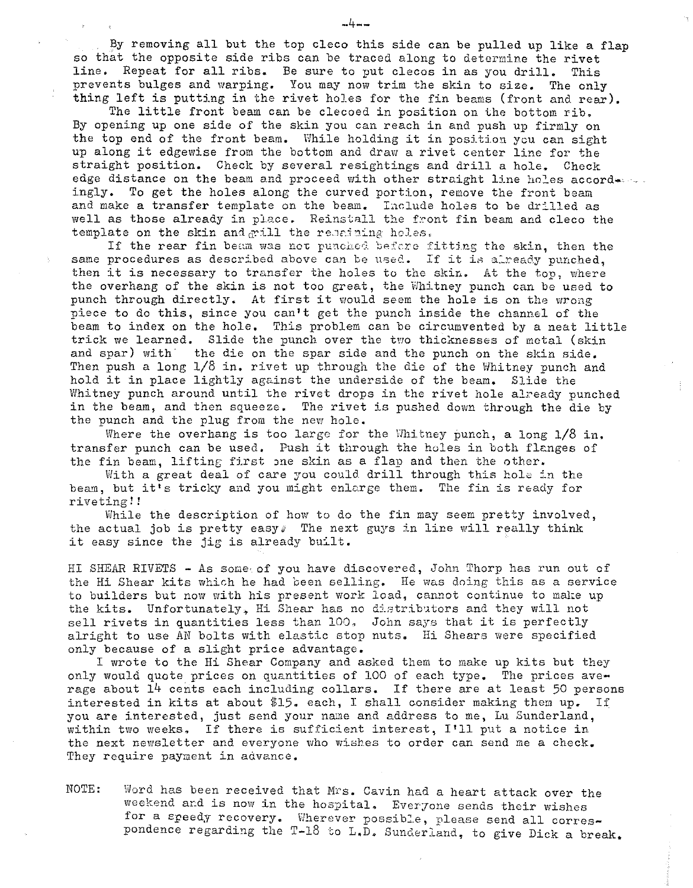By removing all but the top cleco this side can be pulled up like a flap so that the opposite side ribs can be traced along to determine the rivet<br>line. Repeat for all ribs. Be sure to put clecos in as you drill. This line. Repeat for all ribs. Be sure to put clecos in as you drill. prevents bulges and warping. You may now trim the skin to size. The only thing left is putting in the rivet holes for the fin beams (front and rear).

The little front beam can be clecoed in position on the bottom rib. By opening up one side of the skin you can reach in and push up firmly on the top end of the front beam. While holding it in position you can sight up along it edgewise from the bottom and draw a rivet center line for the straight position. Check by several resightings and drill a hole. Check edge distance on the beam and proceed with other straight line holes accord-.... ingly. To get the holes along the curved portion, remove the front beam and make a transfer template on the beam. Include holes to be drilled as well as those already in place. Reinstall the front fin beam and cleco the template on the skin and grill the rescining holes.

If the rear fin beam was not punched before fitting the skin, then the same procedures as described above can be used. If it is already punched. then it is necessary to transfer the holes to the skin. At the top, where the overhang of the skin is not too great, the Whitney punch can be used to punch through directly. At first it would seem the hole is on the wrong piece to do this, since you can't get the punch inside the channel of the beam to index on the hole. This problem can be circumvented by a neat little trick we learned. Slide the punch over the two thicknesses of metal (skin and spar) with the die on the spar side and the punch on the skin side. Then push a long  $1/8$  in. rivet up through the die of the Whitney punch and hold it in place lightly against the underside of the beam. Slide the Whitney punch around until the rivet drops in the rivet hole already punched in the beam, and then squeeze. The rivet is pushed down through the die by the punch and the plug from the new hole.

Where the overhang is too large for the Whitney punch, a long  $1/8$  in. transfer punch can be used. Push it through the holes in both flanges of the fin beam, lifting first one skin as a flap and then the other.

With a great deal of care you could drill through this hole in the beam, but it's tricky and you might enlarge them. The fin is ready for riveting! !

While the description of how to do the fin may seem pretty involved, the actual job is pretty easy; The next guys in line will really think it easy since the jig is already built.

HI SHEAR RIVETS - As some of you have discovered, John Thorp has run out of the Hi Shear kits which he had been selling. He was doing this as a service to builders but now with his present work load, cannot continue to make up the kits. Unfortunately, Hi Shear has no distributors and they will not sell rivets in quantities less than 100, John says that it is perfectly alright to use AN bolts with elastic stop nuts. Hi Shears were specified only because of a slight price advantage.

I wrote to the Hi Shear Company and asked them to make up kits but they only would quote prices on quantities of 100 of each type. The prices average about 14 cents each including collars. If there are at least 50 persons interested in kits at about \$15. each, I shall consider making them up. If you are interested, just send your name and address to me, Lu Sunderland, within two weeks, If there is sufficient interest, I'll put a notice in the next newsletter and everyone who wishes to order can send me a check. They require payment in advance.

NOTE: Word has been received that Mrs. Cavin had a heart attack over the weekend and is now in the hospital. Everyone sends their wishes for a speedy recovery. Wherever possible, please send all correspondence regarding the T-18 to L.D. Sunderland, to give Dick a break.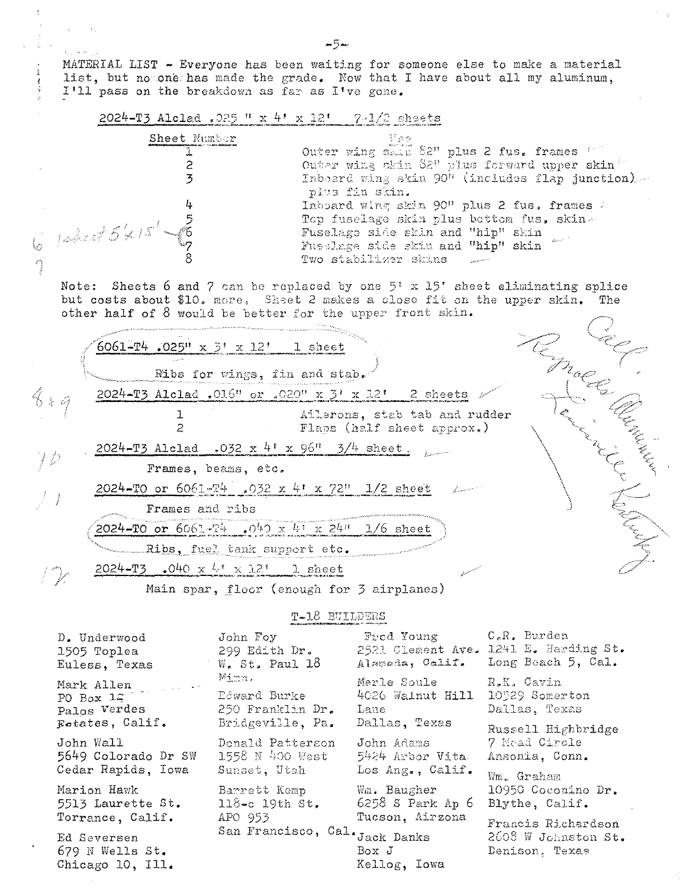MATERIAL LIST - Everyone has been waiting for someone else to make a material list, but no one has made the grade. Now that I have about all my aluminum, I'll pass on the breakdown as far as I've gone.

|  |  | 2024-T3 Alclad. 025 " x 4! x 12! | 7-1/2 sheets |
|--|--|----------------------------------|--------------|
|  |  |                                  |              |

Collector Co

 $1$ eÅ

 $\overline{\mathbb{C}}$ 

Chicago 10, Ill.

| 悲哀な                                                                                            |
|------------------------------------------------------------------------------------------------|
| Outer wing skill 82" plus 2 fus. frames 4000                                                   |
| Outer wing skin 82" plus forward upper skin                                                    |
| Inboard wing skin 90" (includes flap junction)<br>plus fin skin.                               |
| Inboard wing skin 90" plus 2 fus. frames A                                                     |
| Top fuselage skin plus bettem fus, skin-                                                       |
| Fuselage side skin and "hip" skin<br>Fusclage side skin and "hip" skin<br>Two stabilizer skins |
|                                                                                                |

Note: Sheets 6 and 7 can be replaced by one  $5'$  x 15' sheet eliminating splice but costs about \$10. more. Sheet 2 makes a close fit on the upper skin. The other half of 8 would be better for the upper front skin.  $\diagup$ 

 $\label{eq:1} \mathcal{L} = \mathcal{L} \mathcal{L} = \mathcal{L} \mathcal{L} \mathcal{L} \mathcal{L} \mathcal{L} \mathcal{L} \mathcal{L} \mathcal{L} \mathcal{L} \mathcal{L} \mathcal{L} \mathcal{L} \mathcal{L} \mathcal{L} \mathcal{L} \mathcal{L} \mathcal{L} \mathcal{L} \mathcal{L} \mathcal{L} \mathcal{L} \mathcal{L} \mathcal{L} \mathcal{L} \mathcal{L} \mathcal{L} \mathcal{L} \mathcal{L} \mathcal{L} \mathcal{L} \mathcal{L} \mathcal{L} \$ 

|    | $6061 - T4$ .025" x 3' x 12' 1 sheet                        |  |
|----|-------------------------------------------------------------|--|
|    | Ribs for wings, fin and stab.                               |  |
| 幸日 | 2024-T3 Alclad .016" or .020" x $3'$ x 12' 2 sheets         |  |
|    | Ailerons, stab tab and rudder<br>Flaps (half sheet approx.) |  |
|    | 2024-T3 Alclad .032 x 4' x 96" $3/4$ sheet.                 |  |
|    | Frames, beams, etc.                                         |  |
|    | 2024-TO or 6061-T4 .032 x 4' x 72" 1/2 sheet                |  |
|    | Frames and ribs                                             |  |
|    | 2024-TO or 6061-T4 .040 x 41 x 24" 1/6 sheet                |  |
|    | Ribs, fuel tank support etc.                                |  |
|    | 2024-T3 .040 $x \frac{1}{2}$ $x \frac{12}{3}$ 1 sheet       |  |
|    | Main spar, floor (enough for 3 airplanes)                   |  |

T-18 BUILDERS

| D. Underwood                                                           | John Foy                                                      | Fred Young                                               | $CeRe$ Burden                                                       |
|------------------------------------------------------------------------|---------------------------------------------------------------|----------------------------------------------------------|---------------------------------------------------------------------|
| 1505 Toplea                                                            | 299 Edith Dr.                                                 |                                                          | 2521 Clement Ave. 1241 E. Harding St.                               |
| Euless, Texas                                                          | $W_{\bullet}$ St. Paul 18                                     | Alameda, Calif.                                          | Long Beach 5, Cal.                                                  |
| PO $\overline{Box}$ $\overline{1z}$<br>Palos Verdes<br>Estates, Calif. | Minn.<br>Edward Burke<br>250 Franklin Dr.<br>Bridgeville, Pa. | Merle Soule<br>4026 Walnut Hill<br>Lane<br>Dallas, Texas | R.K. Cavin<br>10529 Somerton<br>Dallas, Texas                       |
| John Wall<br>5649 Colorado Dr SW<br>Cedar Rapids, Iowa                 | Donald Patterson<br>$1558$ N 400 West<br>Sunset, Utah         | John Adams<br>5424 Arbor Vita<br>Los Ang., Calif.        | Russell Highbridge<br>7 Mead Circle<br>Ansonia, Conn.<br>Wm. Graham |
| Marion Hawk<br>5513 Laurette St.<br>Torrance, Calif.                   | Barrett Kemp<br>$118 - c$ 19th $St.$<br>APO 953               | Wm. Baugher<br>$6258$ S Park Ap $6$<br>Tucson, Airzona   | 10950 Coconino Dr.<br>Blythe, Calif.                                |
| Ed Seversen<br>679 N Wells St.                                         | San Francisco, Cal. Jack Danks                                | Box J                                                    | Francis Richardson<br>2608 W Johnston St.<br>Denison. Texas         |

Kellog, Iowa